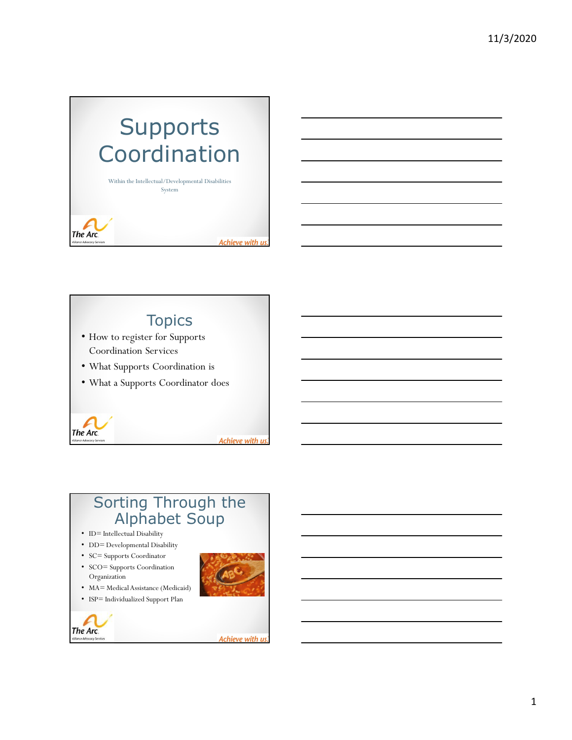# **Supports** Coordination

Within the Intellectual/Developmental Disabilities System

The Arc.

ce Advocacy S

Achieve with us



Achieve with us



1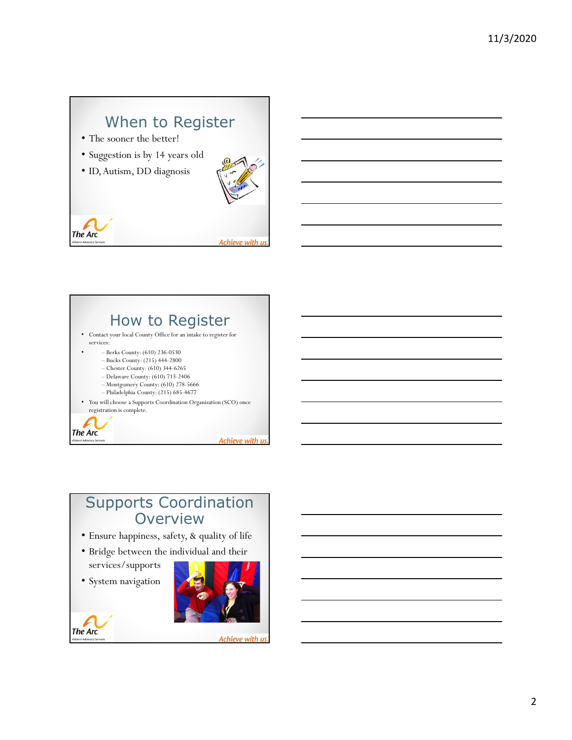### When to Register

- The sooner the better!
- Suggestion is by 14 years old
- ID, Autism, DD diagnosis







## Supports Coordination **Overview**

- Ensure happiness, safety, & quality of life
- Bridge between the individual and their services/supports

• System navigation

The Arc.

ince Advocacy Se



Achieve with us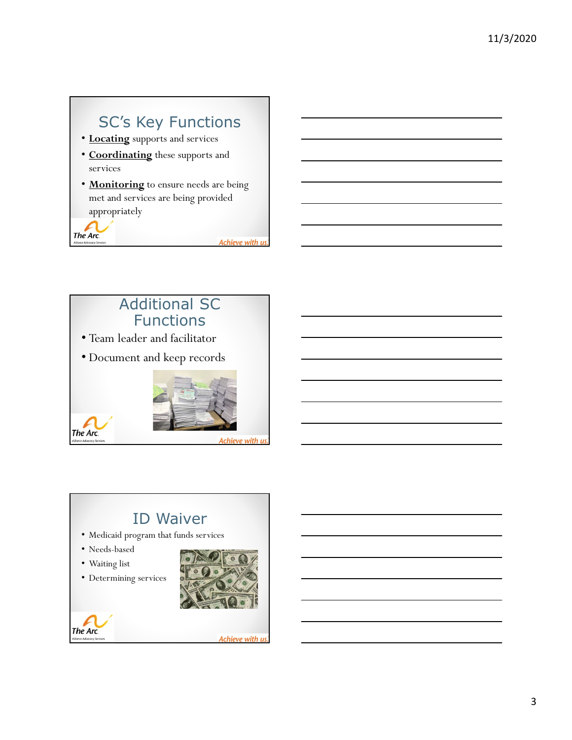# SC's Key Functions

- Locating supports and services
- Coordinating these supports and services
- Monitoring to ensure needs are being met and services are being provided appropriately

The Arc.

Achieve with us



# ID Waiver

- Medicaid program that funds services
- Needs-based
- Waiting list
- Determining services





Achieve with us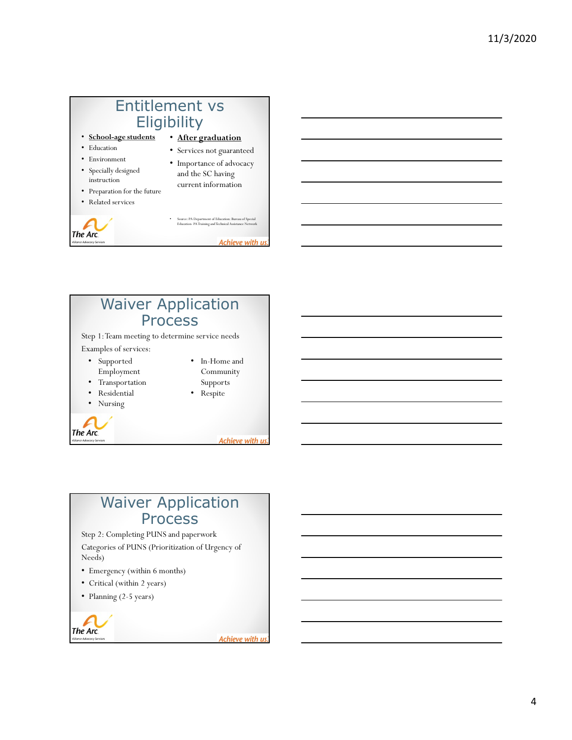



#### Waiver Application Process

Step 2: Completing PUNS and paperwork Categories of PUNS (Prioritization of Urgency of Needs)

- Emergency (within 6 months)
- Critical (within 2 years)
- Planning (2-5 years)

The Arc. nce Advocacy Se

Achieve with us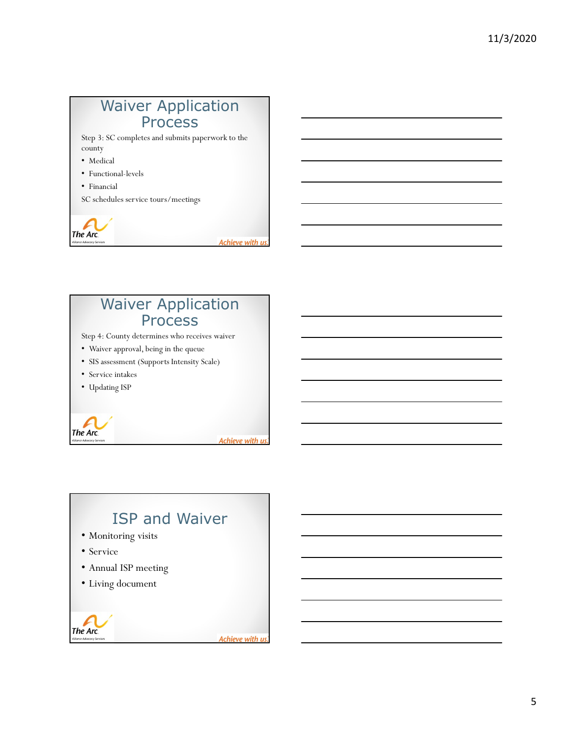#### Waiver Application **Process**

Step 3: SC completes and submits paperwork to the county

- Medical
- Functional-levels
- Financial

SC schedules service tours/meetings

The Arc.

The Arc.

Achieve with us

Achieve with us

## Waiver Application Process Step 4: County determines who receives waiver • Waiver approval, being in the queue • SIS assessment (Supports Intensity Scale) • Service intakes • Updating ISP

ISP and Waiver • Monitoring visits • Service • Annual ISP meeting • Living document The Arc. Achieve with us nce Advocacy S